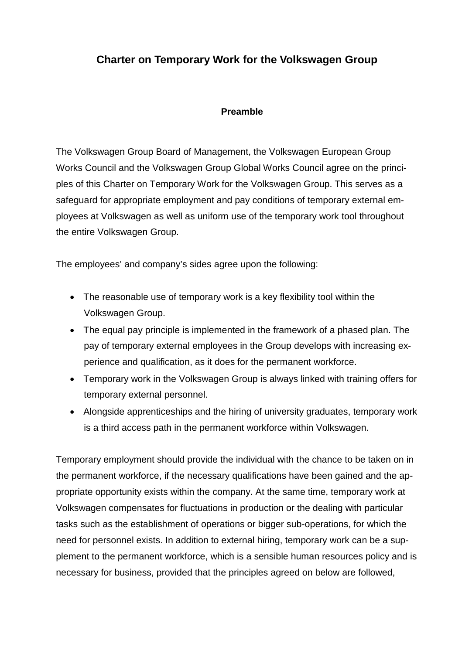# **Charter on Temporary Work for the Volkswagen Group**

#### **Preamble**

The Volkswagen Group Board of Management, the Volkswagen European Group Works Council and the Volkswagen Group Global Works Council agree on the principles of this Charter on Temporary Work for the Volkswagen Group. This serves as a safeguard for appropriate employment and pay conditions of temporary external employees at Volkswagen as well as uniform use of the temporary work tool throughout the entire Volkswagen Group.

The employees' and company's sides agree upon the following:

- The reasonable use of temporary work is a key flexibility tool within the Volkswagen Group.
- The equal pay principle is implemented in the framework of a phased plan. The pay of temporary external employees in the Group develops with increasing experience and qualification, as it does for the permanent workforce.
- Temporary work in the Volkswagen Group is always linked with training offers for temporary external personnel.
- Alongside apprenticeships and the hiring of university graduates, temporary work is a third access path in the permanent workforce within Volkswagen.

Temporary employment should provide the individual with the chance to be taken on in the permanent workforce, if the necessary qualifications have been gained and the appropriate opportunity exists within the company. At the same time, temporary work at Volkswagen compensates for fluctuations in production or the dealing with particular tasks such as the establishment of operations or bigger sub-operations, for which the need for personnel exists. In addition to external hiring, temporary work can be a supplement to the permanent workforce, which is a sensible human resources policy and is necessary for business, provided that the principles agreed on below are followed,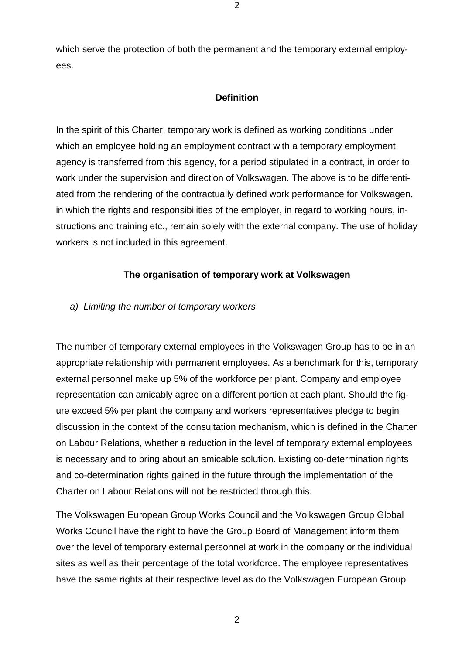which serve the protection of both the permanent and the temporary external employees.

2

#### **Definition**

In the spirit of this Charter, temporary work is defined as working conditions under which an employee holding an employment contract with a temporary employment agency is transferred from this agency, for a period stipulated in a contract, in order to work under the supervision and direction of Volkswagen. The above is to be differentiated from the rendering of the contractually defined work performance for Volkswagen, in which the rights and responsibilities of the employer, in regard to working hours, instructions and training etc., remain solely with the external company. The use of holiday workers is not included in this agreement.

### **The organisation of temporary work at Volkswagen**

*a) Limiting the number of temporary workers*

The number of temporary external employees in the Volkswagen Group has to be in an appropriate relationship with permanent employees. As a benchmark for this, temporary external personnel make up 5% of the workforce per plant. Company and employee representation can amicably agree on a different portion at each plant. Should the figure exceed 5% per plant the company and workers representatives pledge to begin discussion in the context of the consultation mechanism, which is defined in the Charter on Labour Relations, whether a reduction in the level of temporary external employees is necessary and to bring about an amicable solution. Existing co-determination rights and co-determination rights gained in the future through the implementation of the Charter on Labour Relations will not be restricted through this.

The Volkswagen European Group Works Council and the Volkswagen Group Global Works Council have the right to have the Group Board of Management inform them over the level of temporary external personnel at work in the company or the individual sites as well as their percentage of the total workforce. The employee representatives have the same rights at their respective level as do the Volkswagen European Group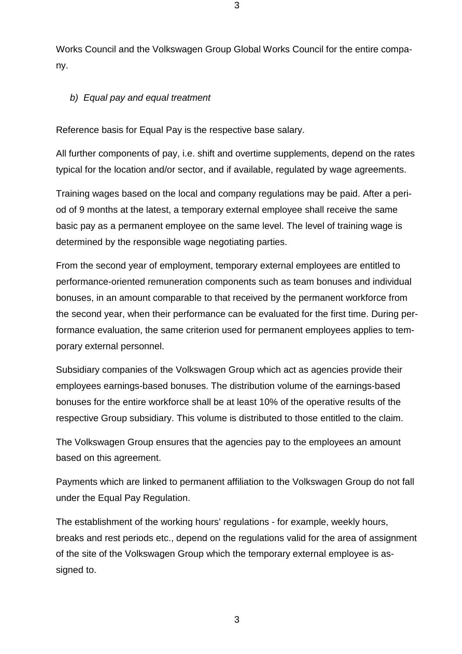Works Council and the Volkswagen Group Global Works Council for the entire company.

## *b) Equal pay and equal treatment*

Reference basis for Equal Pay is the respective base salary.

All further components of pay, i.e. shift and overtime supplements, depend on the rates typical for the location and/or sector, and if available, regulated by wage agreements.

Training wages based on the local and company regulations may be paid. After a period of 9 months at the latest, a temporary external employee shall receive the same basic pay as a permanent employee on the same level. The level of training wage is determined by the responsible wage negotiating parties.

From the second year of employment, temporary external employees are entitled to performance-oriented remuneration components such as team bonuses and individual bonuses, in an amount comparable to that received by the permanent workforce from the second year, when their performance can be evaluated for the first time. During performance evaluation, the same criterion used for permanent employees applies to temporary external personnel.

Subsidiary companies of the Volkswagen Group which act as agencies provide their employees earnings-based bonuses. The distribution volume of the earnings-based bonuses for the entire workforce shall be at least 10% of the operative results of the respective Group subsidiary. This volume is distributed to those entitled to the claim.

The Volkswagen Group ensures that the agencies pay to the employees an amount based on this agreement.

Payments which are linked to permanent affiliation to the Volkswagen Group do not fall under the Equal Pay Regulation.

The establishment of the working hours' regulations - for example, weekly hours, breaks and rest periods etc., depend on the regulations valid for the area of assignment of the site of the Volkswagen Group which the temporary external employee is assigned to.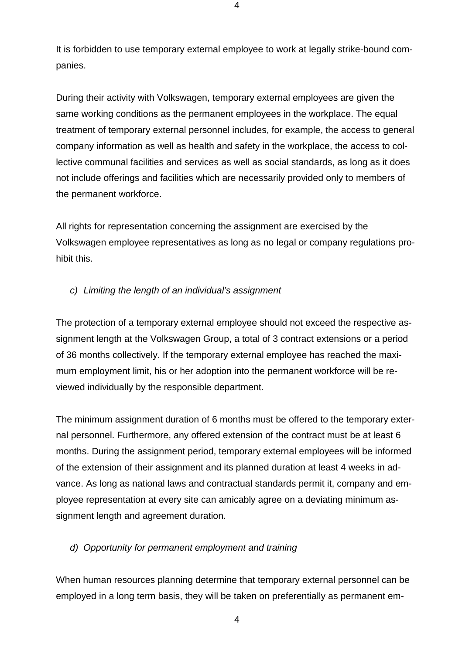It is forbidden to use temporary external employee to work at legally strike-bound companies.

During their activity with Volkswagen, temporary external employees are given the same working conditions as the permanent employees in the workplace. The equal treatment of temporary external personnel includes, for example, the access to general company information as well as health and safety in the workplace, the access to collective communal facilities and services as well as social standards, as long as it does not include offerings and facilities which are necessarily provided only to members of the permanent workforce.

All rights for representation concerning the assignment are exercised by the Volkswagen employee representatives as long as no legal or company regulations prohibit this.

# *c) Limiting the length of an individual's assignment*

The protection of a temporary external employee should not exceed the respective assignment length at the Volkswagen Group, a total of 3 contract extensions or a period of 36 months collectively. If the temporary external employee has reached the maximum employment limit, his or her adoption into the permanent workforce will be reviewed individually by the responsible department.

The minimum assignment duration of 6 months must be offered to the temporary external personnel. Furthermore, any offered extension of the contract must be at least 6 months. During the assignment period, temporary external employees will be informed of the extension of their assignment and its planned duration at least 4 weeks in advance. As long as national laws and contractual standards permit it, company and employee representation at every site can amicably agree on a deviating minimum assignment length and agreement duration.

# *d) Opportunity for permanent employment and training*

When human resources planning determine that temporary external personnel can be employed in a long term basis, they will be taken on preferentially as permanent em-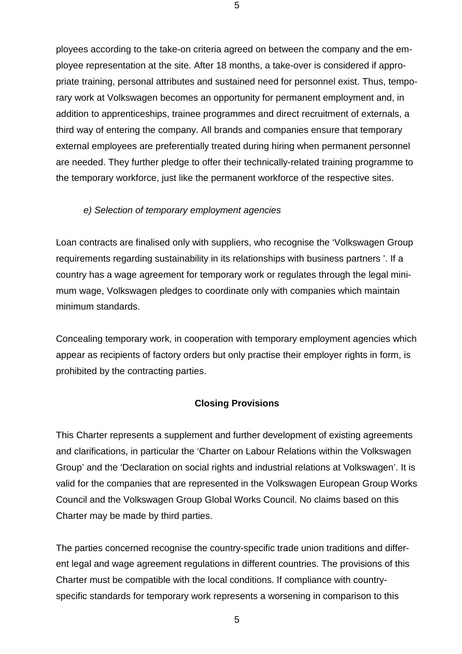ployees according to the take-on criteria agreed on between the company and the employee representation at the site. After 18 months, a take-over is considered if appropriate training, personal attributes and sustained need for personnel exist. Thus, temporary work at Volkswagen becomes an opportunity for permanent employment and, in addition to apprenticeships, trainee programmes and direct recruitment of externals, a third way of entering the company. All brands and companies ensure that temporary external employees are preferentially treated during hiring when permanent personnel are needed. They further pledge to offer their technically-related training programme to the temporary workforce, just like the permanent workforce of the respective sites.

#### *e) Selection of temporary employment agencies*

Loan contracts are finalised only with suppliers, who recognise the 'Volkswagen Group requirements regarding sustainability in its relationships with business partners '. If a country has a wage agreement for temporary work or regulates through the legal minimum wage, Volkswagen pledges to coordinate only with companies which maintain minimum standards.

Concealing temporary work, in cooperation with temporary employment agencies which appear as recipients of factory orders but only practise their employer rights in form, is prohibited by the contracting parties.

#### **Closing Provisions**

This Charter represents a supplement and further development of existing agreements and clarifications, in particular the 'Charter on Labour Relations within the Volkswagen Group' and the 'Declaration on social rights and industrial relations at Volkswagen'. It is valid for the companies that are represented in the Volkswagen European Group Works Council and the Volkswagen Group Global Works Council. No claims based on this Charter may be made by third parties.

The parties concerned recognise the country-specific trade union traditions and different legal and wage agreement regulations in different countries. The provisions of this Charter must be compatible with the local conditions. If compliance with countryspecific standards for temporary work represents a worsening in comparison to this

5